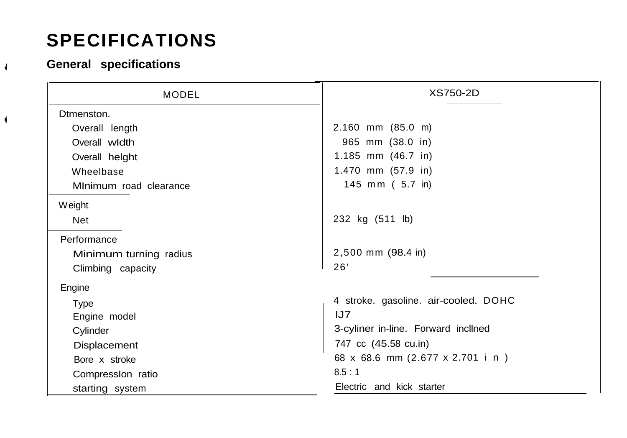## **SPECIFICATIONS**

## **<sup>4</sup> General specifications**

4

| MODEL                  | XS750-2D                             |
|------------------------|--------------------------------------|
| Dtmenston.             |                                      |
| Overall length         | $2.160$ mm $(85.0$ m)                |
| Overall width          | 965 mm (38.0 in)                     |
| Overall helght         | 1.185 mm (46.7 in)                   |
| Wheelbase              | 1.470 mm (57.9 in)                   |
| MInimum road clearance | 145 mm ( 5.7 in)                     |
| Weight                 |                                      |
| Net                    | 232 kg (511 lb)                      |
| Performance            |                                      |
| Minimum turning radius | 2,500 mm (98.4 in)                   |
| Climbing capacity      | 26'                                  |
| Engine                 |                                      |
| Type                   | 4 stroke. gasoline. air-cooled. DOHC |
| Engine model           | JJ7                                  |
| Cylinder               | 3-cyliner in-line. Forward incllned  |
| Displacement           | 747 cc (45.58 cu.in)                 |
| Bore x stroke          | 68 x 68.6 mm (2.677 x 2.701 i n)     |
| Compression ratio      | 8.5:1                                |
| starting system        | Electric and kick starter            |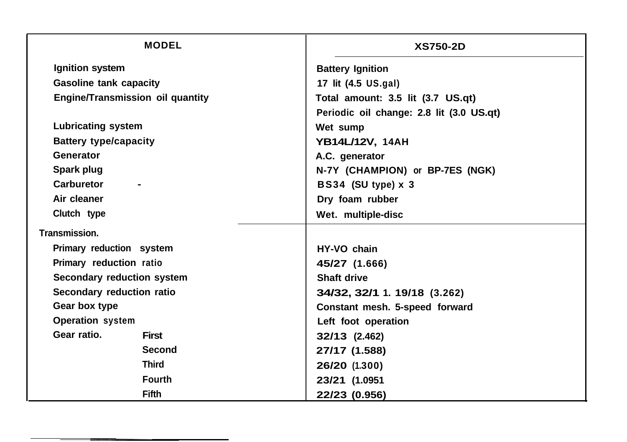| <b>MODEL</b>                            | <b>XS750-2D</b>                          |
|-----------------------------------------|------------------------------------------|
| Ignition system                         | <b>Battery Ignition</b>                  |
| <b>Gasoline tank capacity</b>           | 17 lit (4.5 US.gal)                      |
| <b>Engine/Transmission oil quantity</b> | Total amount: 3.5 lit (3.7 US.qt)        |
|                                         | Periodic oil change: 2.8 lit (3.0 US.qt) |
| <b>Lubricating system</b>               | Wet sump                                 |
| <b>Battery type/capacity</b>            | YB14L/12V, 14AH                          |
| Generator                               | A.C. generator                           |
| Spark plug                              | N-7Y (CHAMPION) or BP-7ES (NGK)          |
| Carburetor                              | BS34 (SU type) x 3                       |
| Air cleaner                             | Dry foam rubber                          |
| Clutch type                             | Wet. multiple-disc                       |
| Transmission.                           |                                          |
| Primary reduction system                | HY-VO chain                              |
| Primary reduction ratio                 | 45/27 (1.666)                            |
| Secondary reduction system              | Shaft drive                              |
| Secondary reduction ratio               | 34/32, 32/1 1. 19/18 (3.262)             |
| Gear box type                           | Constant mesh. 5-speed forward           |
| <b>Operation system</b>                 | Left foot operation                      |
| Gear ratio.<br><b>First</b>             | 32/13 (2.462)                            |
| <b>Second</b>                           | 27/17 (1.588)                            |
| <b>Third</b>                            | 26/20 (1.300)                            |
| <b>Fourth</b>                           | 23/21 (1.0951                            |
| <b>Fifth</b>                            | 22/23 (0.956)                            |